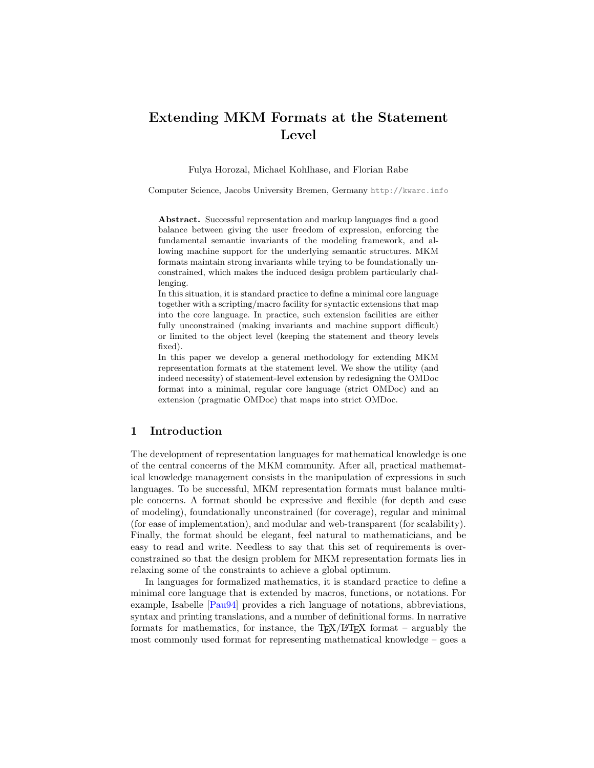# Extending MKM Formats at the Statement Level

Fulya Horozal, Michael Kohlhase, and Florian Rabe

Computer Science, Jacobs University Bremen, Germany <http://kwarc.info>

Abstract. Successful representation and markup languages find a good balance between giving the user freedom of expression, enforcing the fundamental semantic invariants of the modeling framework, and allowing machine support for the underlying semantic structures. MKM formats maintain strong invariants while trying to be foundationally unconstrained, which makes the induced design problem particularly challenging.

In this situation, it is standard practice to define a minimal core language together with a scripting/macro facility for syntactic extensions that map into the core language. In practice, such extension facilities are either fully unconstrained (making invariants and machine support difficult) or limited to the object level (keeping the statement and theory levels fixed).

In this paper we develop a general methodology for extending MKM representation formats at the statement level. We show the utility (and indeed necessity) of statement-level extension by redesigning the OMDoc format into a minimal, regular core language (strict OMDoc) and an extension (pragmatic OMDoc) that maps into strict OMDoc.

#### 1 Introduction

The development of representation languages for mathematical knowledge is one of the central concerns of the MKM community. After all, practical mathematical knowledge management consists in the manipulation of expressions in such languages. To be successful, MKM representation formats must balance multiple concerns. A format should be expressive and flexible (for depth and ease of modeling), foundationally unconstrained (for coverage), regular and minimal (for ease of implementation), and modular and web-transparent (for scalability). Finally, the format should be elegant, feel natural to mathematicians, and be easy to read and write. Needless to say that this set of requirements is overconstrained so that the design problem for MKM representation formats lies in relaxing some of the constraints to achieve a global optimum.

In languages for formalized mathematics, it is standard practice to define a minimal core language that is extended by macros, functions, or notations. For example, Isabelle [\[Pau94\]](#page-15-0) provides a rich language of notations, abbreviations, syntax and printing translations, and a number of definitional forms. In narrative formats for mathematics, for instance, the  $T_{F}X/IF_{F}X$  format – arguably the most commonly used format for representing mathematical knowledge  $-$  goes a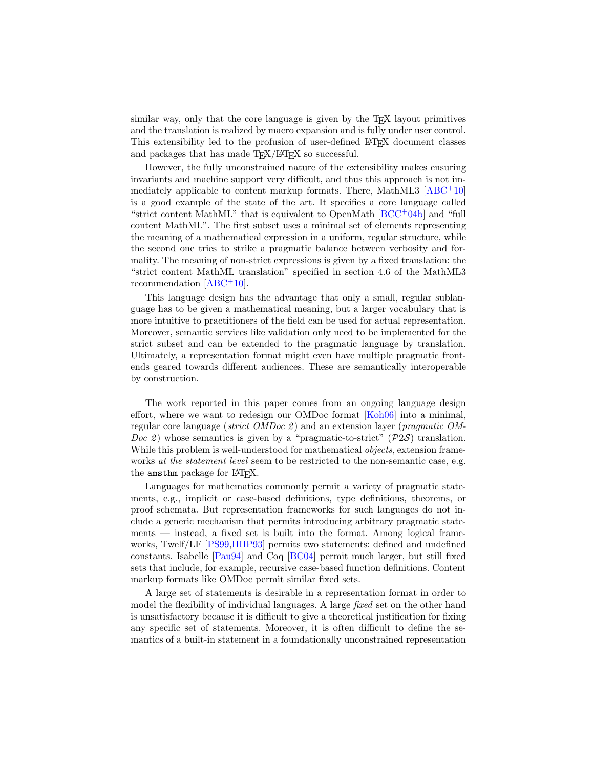similar way, only that the core language is given by the TEX layout primitives and the translation is realized by macro expansion and is fully under user control. This extensibility led to the profusion of user-defined LAT<sub>EX</sub> document classes and packages that has made T<sub>E</sub>X/L<sup>AT</sup>E<sub>X</sub> so successful.

However, the fully unconstrained nature of the extensibility makes ensuring invariants and machine support very difficult, and thus this approach is not immediately applicable to content markup formats. There, MathML3  $[ABC^+10]$  $[ABC^+10]$ is a good example of the state of the art. It specifies a core language called "strict content MathML" that is equivalent to OpenMath [\[BCC](#page-14-1)+04b] and "full content MathML". The first subset uses a minimal set of elements representing the meaning of a mathematical expression in a uniform, regular structure, while the second one tries to strike a pragmatic balance between verbosity and formality. The meaning of non-strict expressions is given by a fixed translation: the "strict content MathML translation" specified in section 4.6 of the MathML3 recommendation [\[ABC](#page-14-0)+10].

This language design has the advantage that only a small, regular sublanguage has to be given a mathematical meaning, but a larger vocabulary that is more intuitive to practitioners of the field can be used for actual representation. Moreover, semantic services like validation only need to be implemented for the strict subset and can be extended to the pragmatic language by translation. Ultimately, a representation format might even have multiple pragmatic frontends geared towards different audiences. These are semantically interoperable by construction.

The work reported in this paper comes from an ongoing language design effort, where we want to redesign our OMDoc format [\[Koh06\]](#page-14-2) into a minimal, regular core language (strict OMDoc 2) and an extension layer (pragmatic OM-Doc 2) whose semantics is given by a "pragmatic-to-strict" ( $P2S$ ) translation. While this problem is well-understood for mathematical *objects*, extension frameworks at the statement level seem to be restricted to the non-semantic case, e.g. the amsthm package for LAT<sub>EX</sub>.

Languages for mathematics commonly permit a variety of pragmatic statements, e.g., implicit or case-based definitions, type definitions, theorems, or proof schemata. But representation frameworks for such languages do not include a generic mechanism that permits introducing arbitrary pragmatic statements — instead, a fixed set is built into the format. Among logical frameworks, Twelf/LF [\[PS99](#page-15-1)[,HHP93\]](#page-14-3) permits two statements: defined and undefined constants. Isabelle [\[Pau94\]](#page-15-0) and Coq [\[BC04\]](#page-14-4) permit much larger, but still fixed sets that include, for example, recursive case-based function definitions. Content markup formats like OMDoc permit similar fixed sets.

A large set of statements is desirable in a representation format in order to model the flexibility of individual languages. A large *fixed* set on the other hand is unsatisfactory because it is difficult to give a theoretical justification for fixing any specific set of statements. Moreover, it is often difficult to define the semantics of a built-in statement in a foundationally unconstrained representation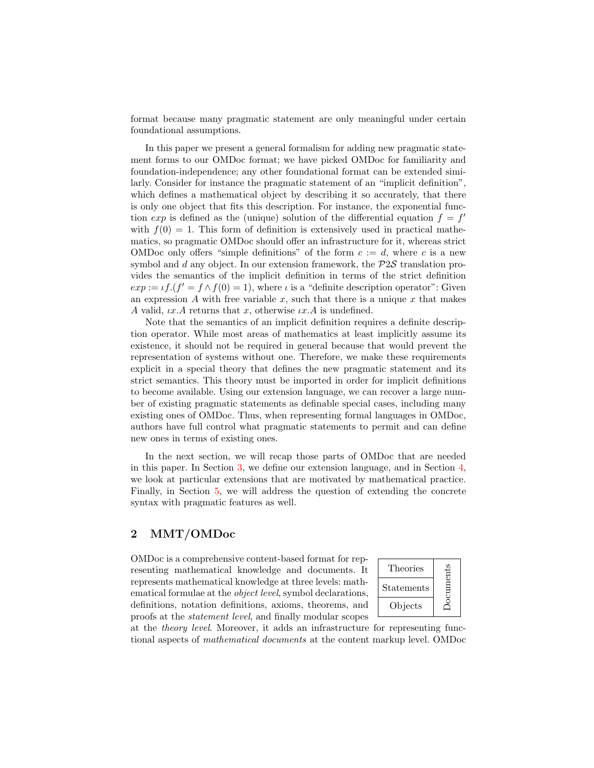format because many pragmatic statement are only meaningful under certain foundational assumptions.

In this paper we present a general formalism for adding new pragmatic statement forms to our OMDoc format; we have picked OMDoc for familiarity and foundation-independence; any other foundational format can be extended similarly. Consider for instance the pragmatic statement of an "implicit definition", which defines a mathematical object by describing it so accurately, that there is only one object that fits this description. For instance, the exponential function  $exp$  is defined as the (unique) solution of the differential equation  $f = f'$ with  $f(0) = 1$ . This form of definition is extensively used in practical mathematics, so pragmatic OMDoc should offer an infrastructure for it, whereas strict OMDoc only offers "simple definitions" of the form  $c := d$ , where c is a new symbol and d any object. In our extension framework, the  $P2S$  translation provides the semantics of the implicit definition in terms of the strict definition  $exp := \iota f$ . $(f' = f \wedge f(0) = 1)$ , where  $\iota$  is a "definite description operator": Given an expression  $A$  with free variable  $x$ , such that there is a unique  $x$  that makes A valid,  $\iota x.A$  returns that x, otherwise  $\iota x.A$  is undefined.

Note that the semantics of an implicit definition requires a definite description operator. While most areas of mathematics at least implicitly assume its existence, it should not be required in general because that would prevent the representation of systems without one. Therefore, we make these requirements explicit in a special theory that defines the new pragmatic statement and its strict semantics. This theory must be imported in order for implicit definitions to become available. Using our extension language, we can recover a large number of existing pragmatic statements as definable special cases, including many existing ones of OMDoc. Thus, when representing formal languages in OMDoc, authors have full control what pragmatic statements to permit and can define new ones in terms of existing ones.

In the next section, we will recap those parts of OMDoc that are needed in this paper. In Section [3,](#page-4-0) we define our extension language, and in Section [4,](#page-7-0) we look at particular extensions that are motivated by mathematical practice. Finally, in Section [5,](#page-11-0) we will address the question of extending the concrete syntax with pragmatic features as well.

## 2 MMT/OMDoc

OMDoc is a comprehensive content-based format for representing mathematical knowledge and documents. It represents mathematical knowledge at three levels: mathematical formulae at the object level, symbol declarations, definitions, notation definitions, axioms, theorems, and proofs at the statement level, and finally modular scopes



at the theory level. Moreover, it adds an infrastructure for representing functional aspects of mathematical documents at the content markup level. OMDoc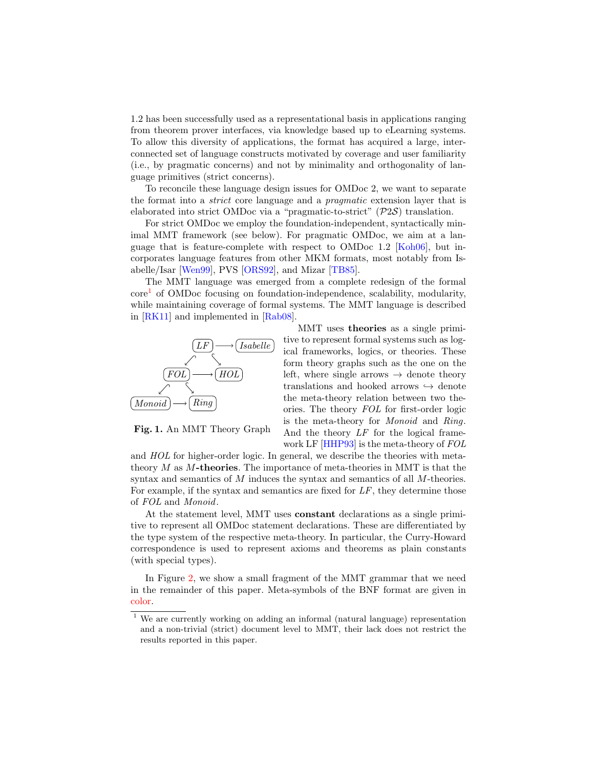1.2 has been successfully used as a representational basis in applications ranging from theorem prover interfaces, via knowledge based up to eLearning systems. To allow this diversity of applications, the format has acquired a large, interconnected set of language constructs motivated by coverage and user familiarity (i.e., by pragmatic concerns) and not by minimality and orthogonality of language primitives (strict concerns).

To reconcile these language design issues for OMDoc 2, we want to separate the format into a strict core language and a pragmatic extension layer that is elaborated into strict OMDoc via a "pragmatic-to-strict" ( $P2S$ ) translation.

For strict OMDoc we employ the foundation-independent, syntactically minimal MMT framework (see below). For pragmatic OMDoc, we aim at a language that is feature-complete with respect to OMDoc 1.2 [\[Koh06\]](#page-14-2), but incorporates language features from other MKM formats, most notably from Isabelle/Isar [\[Wen99\]](#page-15-2), PVS [\[ORS92\]](#page-15-3), and Mizar [\[TB85\]](#page-15-4).

The MMT language was emerged from a complete redesign of the formal core[1](#page-3-0) of OMDoc focusing on foundation-independence, scalability, modularity, while maintaining coverage of formal systems. The MMT language is described in [\[RK11\]](#page-15-5) and implemented in [\[Rab08\]](#page-15-6).



MMT uses theories as a single primitive to represent formal systems such as logical frameworks, logics, or theories. These form theory graphs such as the one on the left, where single arrows  $\rightarrow$  denote theory translations and hooked arrows  $\hookrightarrow$  denote the meta-theory relation between two theories. The theory FOL for first-order logic is the meta-theory for Monoid and Ring. And the theory LF for the logical framework LF [\[HHP93\]](#page-14-3) is the meta-theory of FOL

Fig. 1. An MMT Theory Graph

and HOL for higher-order logic. In general, we describe the theories with metatheory  $M$  as  $M$ -theories. The importance of meta-theories in MMT is that the syntax and semantics of M induces the syntax and semantics of all M-theories. For example, if the syntax and semantics are fixed for  $LF$ , they determine those of FOL and Monoid.

At the statement level, MMT uses constant declarations as a single primitive to represent all OMDoc statement declarations. These are differentiated by the type system of the respective meta-theory. In particular, the Curry-Howard correspondence is used to represent axioms and theorems as plain constants (with special types).

In Figure [2,](#page-4-1) we show a small fragment of the MMT grammar that we need in the remainder of this paper. Meta-symbols of the BNF format are given in color.

<span id="page-3-0"></span><sup>1</sup> We are currently working on adding an informal (natural language) representation and a non-trivial (strict) document level to MMT, their lack does not restrict the results reported in this paper.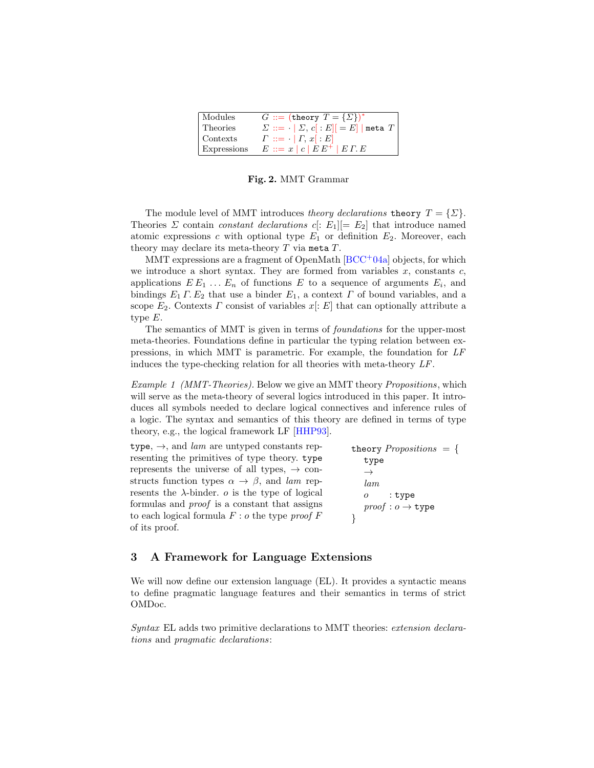| Modules     | $G ::=$ (theory $T = \{\Sigma\})^*$                     |
|-------------|---------------------------------------------------------|
| Theories    | $\Sigma ::= \cdot   \Sigma, c   : E   = E  $ meta $T  $ |
| Contexts    | $\Gamma ::= \cdot   \Gamma, x   : E$                    |
| Expressions | $E ::= x   c   E E^+   E T. E$                          |

<span id="page-4-1"></span>Fig. 2. MMT Grammar

The module level of MMT introduces theory declarations theory  $T = \{\Sigma\}.$ Theories  $\Sigma$  contain *constant declarations*  $c[:E_1][=E_2]$  that introduce named atomic expressions c with optional type  $E_1$  or definition  $E_2$ . Moreover, each theory may declare its meta-theory  $T$  via meta  $T$ .

MMT expressions are a fragment of OpenMath  $[BCC^+04a]$  $[BCC^+04a]$  objects, for which we introduce a short syntax. They are formed from variables  $x$ , constants  $c$ , applications  $E E_1 ... E_n$  of functions  $E$  to a sequence of arguments  $E_i$ , and bindings  $E_1 \Gamma$ .  $E_2$  that use a binder  $E_1$ , a context  $\Gamma$  of bound variables, and a scope  $E_2$ . Contexts  $\Gamma$  consist of variables  $x[:E]$  that can optionally attribute a type E.

The semantics of MMT is given in terms of foundations for the upper-most meta-theories. Foundations define in particular the typing relation between expressions, in which MMT is parametric. For example, the foundation for LF induces the type-checking relation for all theories with meta-theory LF.

Example 1 (MMT-Theories). Below we give an MMT theory Propositions, which will serve as the meta-theory of several logics introduced in this paper. It introduces all symbols needed to declare logical connectives and inference rules of a logic. The syntax and semantics of this theory are defined in terms of type theory, e.g., the logical framework LF [\[HHP93\]](#page-14-3).

type,  $\rightarrow$ , and *lam* are untyped constants representing the primitives of type theory. type represents the universe of all types,  $\rightarrow$  constructs function types  $\alpha \rightarrow \beta$ , and *lam* represents the  $\lambda$ -binder.  $\sigma$  is the type of logical formulas and proof is a constant that assigns to each logical formula  $F : o$  the type proof  $F$ of its proof. theory  $Propositions = \{$ type  $\rightarrow$ lam  $o$  : type  $\mathit{proof}: o \rightarrow \texttt{type}$ }

## <span id="page-4-0"></span>3 A Framework for Language Extensions

We will now define our extension language (EL). It provides a syntactic means to define pragmatic language features and their semantics in terms of strict OMDoc.

Syntax EL adds two primitive declarations to MMT theories: extension declarations and pragmatic declarations: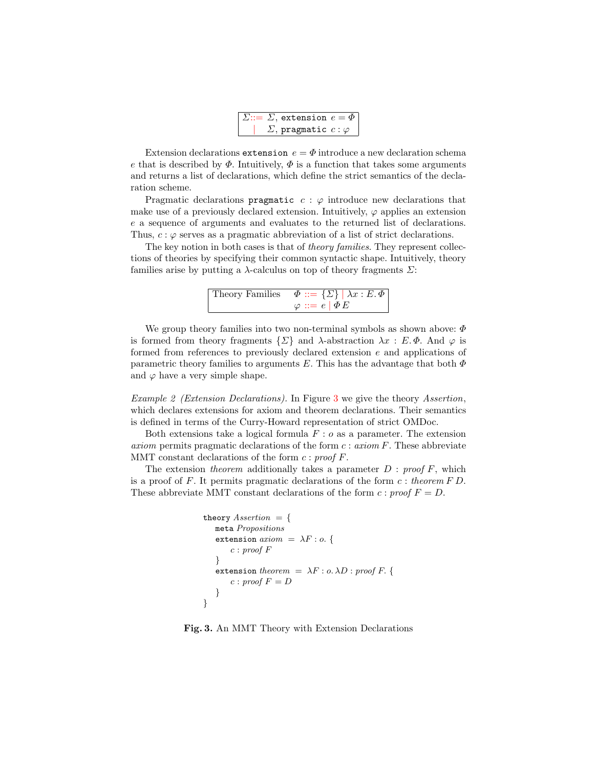| $\Sigma ::= \Sigma$ , extension $e = \Phi$ |
|--------------------------------------------|
| $\Sigma$ , pragmatic $c : \varphi$         |

Extension declarations extension  $e = \Phi$  introduce a new declaration schema e that is described by  $\Phi$ . Intuitively,  $\Phi$  is a function that takes some arguments and returns a list of declarations, which define the strict semantics of the declaration scheme.

Pragmatic declarations pragmatic  $c : \varphi$  introduce new declarations that make use of a previously declared extension. Intuitively,  $\varphi$  applies an extension e a sequence of arguments and evaluates to the returned list of declarations. Thus,  $c : \varphi$  serves as a pragmatic abbreviation of a list of strict declarations.

The key notion in both cases is that of *theory families*. They represent collections of theories by specifying their common syntactic shape. Intuitively, theory families arise by putting a  $\lambda$ -calculus on top of theory fragments  $\Sigma$ :

| Theory Families $\Phi ::= {\{\Sigma\}}   \lambda x \cdot E.\Phi  $ |
|--------------------------------------------------------------------|
| $\varphi ::= e   \varPhi E$                                        |

We group theory families into two non-terminal symbols as shown above:  $\Phi$ is formed from theory fragments  $\{\Sigma\}$  and  $\lambda$ -abstraction  $\lambda x : E.\Phi$ . And  $\varphi$  is formed from references to previously declared extension e and applications of parametric theory families to arguments E. This has the advantage that both  $\Phi$ and  $\varphi$  have a very simple shape.

Example 2 (Extension Declarations). In Figure [3](#page-5-0) we give the theory Assertion, which declares extensions for axiom and theorem declarations. Their semantics is defined in terms of the Curry-Howard representation of strict OMDoc.

Both extensions take a logical formula  $F : o$  as a parameter. The extension axiom permits pragmatic declarations of the form  $c : axiom F$ . These abbreviate MMT constant declarations of the form  $c : proof F$ .

The extension theorem additionally takes a parameter  $D : proof F$ , which is a proof of F. It permits pragmatic declarations of the form  $c : theorem F D$ . These abbreviate MMT constant declarations of the form  $c : proof F = D$ .

```
theory \text{A} \text{s} \text{a} \text{b} = \{meta Propositions
    extension axiom = \lambda F : o. {
        c: proof F}
    extension theorem = \lambda F : o. \lambda D : proof F.c: proof F = D}
}
```
<span id="page-5-0"></span>Fig. 3. An MMT Theory with Extension Declarations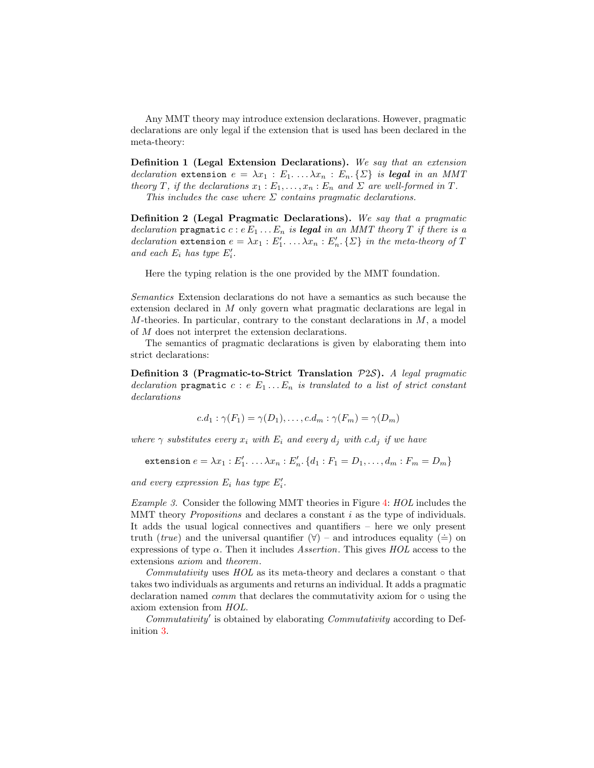Any MMT theory may introduce extension declarations. However, pragmatic declarations are only legal if the extension that is used has been declared in the meta-theory:

Definition 1 (Legal Extension Declarations). We say that an extension declaration extension  $e = \lambda x_1 : E_1 \dots \lambda x_n : E_n.\{\Sigma\}$  is legal in an MMT theory T, if the declarations  $x_1 : E_1, \ldots, x_n : E_n$  and  $\Sigma$  are well-formed in T. This includes the case where  $\Sigma$  contains pragmatic declarations.

Definition 2 (Legal Pragmatic Declarations). We say that a pragmatic declaration pragmatic  $c : e E_1 ... E_n$  is legal in an MMT theory T if there is a declaration extension  $e = \lambda x_1 : E'_1 \dots \lambda x_n : E'_n \{ \Sigma \}$  in the meta-theory of T and each  $E_i$  has type  $E'_i$ .

Here the typing relation is the one provided by the MMT foundation.

Semantics Extension declarations do not have a semantics as such because the extension declared in M only govern what pragmatic declarations are legal in  $M$ -theories. In particular, contrary to the constant declarations in  $M$ , a model of M does not interpret the extension declarations.

The semantics of pragmatic declarations is given by elaborating them into strict declarations:

Definition 3 (Pragmatic-to-Strict Translation P2S). A legal pragmatic declaration pragmatic  $c : e E_1 ... E_n$  is translated to a list of strict constant declarations

<span id="page-6-0"></span>
$$
c.d_1: \gamma(F_1) = \gamma(D_1), \dots, c.d_m: \gamma(F_m) = \gamma(D_m)
$$

where  $\gamma$  substitutes every  $x_i$  with  $E_i$  and every  $d_j$  with  $c.d_j$  if we have

extension 
$$
e = \lambda x_1 : E'_1 \dots \lambda x_n : E'_n \cdot \{d_1 : F_1 = D_1, \dots, d_m : F_m = D_m\}
$$

and every expression  $E_i$  has type  $E'_i$ .

Example 3. Consider the following MMT theories in Figure [4:](#page-7-1) HOL includes the MMT theory *Propositions* and declares a constant i as the type of individuals. It adds the usual logical connectives and quantifiers – here we only present truth (true) and the universal quantifier  $(\forall)$  – and introduces equality ( $\dot{=}$ ) on expressions of type  $\alpha$ . Then it includes Assertion. This gives HOL access to the extensions axiom and theorem.

Commutativity uses  $HOL$  as its meta-theory and declares a constant  $\circ$  that takes two individuals as arguments and returns an individual. It adds a pragmatic declaration named comm that declares the commutativity axiom for ◦ using the axiom extension from HOL.

Commutativity' is obtained by elaborating Commutativity according to Definition [3.](#page-6-0)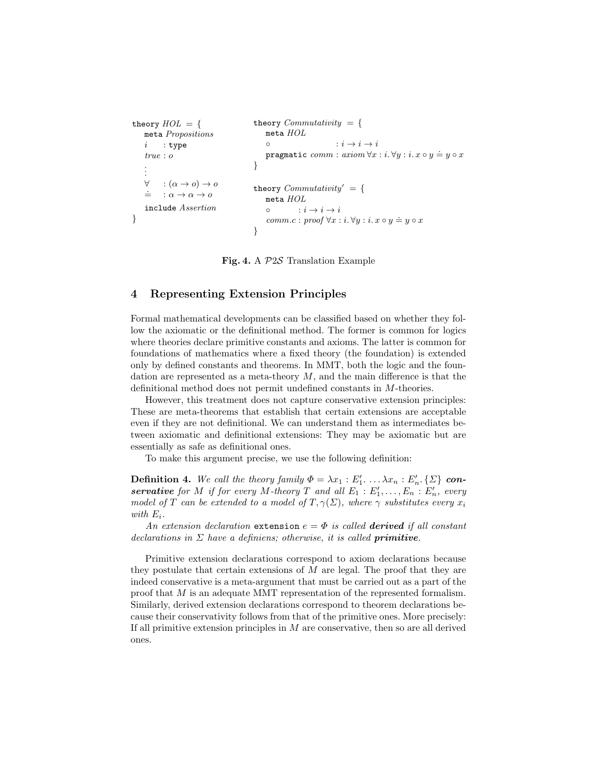```
theory HOL = \{meta Propositions
   i : type
    true : o
    .
    .
    .
    \forall : (\alpha \rightarrow o) \rightarrow o\dot{=} \quad : \alpha \to \alpha \to \alphainclude Assertion
}
                                        theory Commutativity = \{meta HOL
                                            \circ : i \to i \to i\mathcal{P} pragmatic comm: axiom \,\forall x: i.~\forall y: i.~x \circ y \doteq y \circ x}
                                        theory Commutativity' = \{meta HOL\circ : i \to i \to icomm.c : proof \forall x : i. \forall y : i. x \circ y \doteq y \circ x}
```
<span id="page-7-1"></span>Fig. 4. A P2S Translation Example

### <span id="page-7-0"></span>4 Representing Extension Principles

Formal mathematical developments can be classified based on whether they follow the axiomatic or the definitional method. The former is common for logics where theories declare primitive constants and axioms. The latter is common for foundations of mathematics where a fixed theory (the foundation) is extended only by defined constants and theorems. In MMT, both the logic and the foundation are represented as a meta-theory  $M$ , and the main difference is that the definitional method does not permit undefined constants in M-theories.

However, this treatment does not capture conservative extension principles: These are meta-theorems that establish that certain extensions are acceptable even if they are not definitional. We can understand them as intermediates between axiomatic and definitional extensions: They may be axiomatic but are essentially as safe as definitional ones.

To make this argument precise, we use the following definition:

**Definition 4.** We call the theory family  $\Phi = \lambda x_1 : E'_1 \dots \lambda x_n : E'_n \{ \Sigma \}$  conservative for M if for every M-theory T and all  $E_1 : E'_1, \ldots, E_n : E'_n$ , every model of T can be extended to a model of  $T, \gamma(\Sigma)$ , where  $\gamma$  substitutes every  $x_i$ with  $E_i$ .

An extension declaration extension  $e = \Phi$  is called **derived** if all constant declarations in  $\Sigma$  have a definiens; otherwise, it is called **primitive**.

Primitive extension declarations correspond to axiom declarations because they postulate that certain extensions of  $M$  are legal. The proof that they are indeed conservative is a meta-argument that must be carried out as a part of the proof that M is an adequate MMT representation of the represented formalism. Similarly, derived extension declarations correspond to theorem declarations because their conservativity follows from that of the primitive ones. More precisely: If all primitive extension principles in  $M$  are conservative, then so are all derived ones.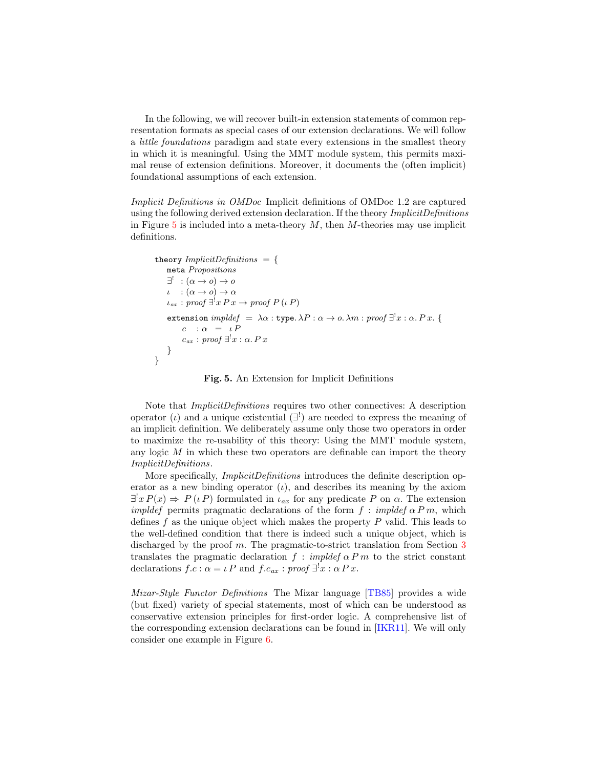In the following, we will recover built-in extension statements of common representation formats as special cases of our extension declarations. We will follow a little foundations paradigm and state every extensions in the smallest theory in which it is meaningful. Using the MMT module system, this permits maximal reuse of extension definitions. Moreover, it documents the (often implicit) foundational assumptions of each extension.

Implicit Definitions in OMDoc Implicit definitions of OMDoc 1.2 are captured using the following derived extension declaration. If the theory *ImplicitDefinitions* in Figure [5](#page-8-0) is included into a meta-theory  $M$ , then  $M$ -theories may use implicit definitions.

```
theory ImplicitDefinitions = \{meta Propositions
     \exists^! \; : (\alpha \to o) \to o\iota : (\alpha \to o) \to \alpha\iota_{ax}: proof \exists^{!} x P x \rightarrow proof P(\iota P)extension \mathit{impliede} f = \lambda \alpha : \texttt{type}.\, \lambda P: \alpha \to o.\, \lambda m: \mathit{proof}\, \exists^! x: \alpha.\, P\, x. {
           c : \alpha = \iota Pc_{ax}: proof \exists^!x:\alpha.Px}
}
```
<span id="page-8-0"></span>Fig. 5. An Extension for Implicit Definitions

Note that ImplicitDefinitions requires two other connectives: A description operator (*i*) and a unique existential  $(\exists')$  are needed to express the meaning of an implicit definition. We deliberately assume only those two operators in order to maximize the re-usability of this theory: Using the MMT module system, any logic  $M$  in which these two operators are definable can import the theory ImplicitDefinitions.

More specifically, ImplicitDefinitions introduces the definite description operator as a new binding operator  $(1)$ , and describes its meaning by the axiom  $\exists^{!} x P(x) \Rightarrow P(\iota P)$  formulated in  $\iota_{ax}$  for any predicate P on  $\alpha$ . The extension *impldef* permits pragmatic declarations of the form  $f : *implede f* \alpha P m$ , which defines f as the unique object which makes the property  $P$  valid. This leads to the well-defined condition that there is indeed such a unique object, which is discharged by the proof  $m$ . The pragmatic-to-strict translation from Section [3](#page-4-0) translates the pragmatic declaration  $f : *implede* \alpha P m$  to the strict constant declarations  $f.c: \alpha = \iota P$  and  $f.c_{ax} : proof \exists^{!} x : \alpha P x$ .

Mizar-Style Functor Definitions The Mizar language [\[TB85\]](#page-15-4) provides a wide (but fixed) variety of special statements, most of which can be understood as conservative extension principles for first-order logic. A comprehensive list of the corresponding extension declarations can be found in [\[IKR11\]](#page-14-6). We will only consider one example in Figure [6.](#page-9-0)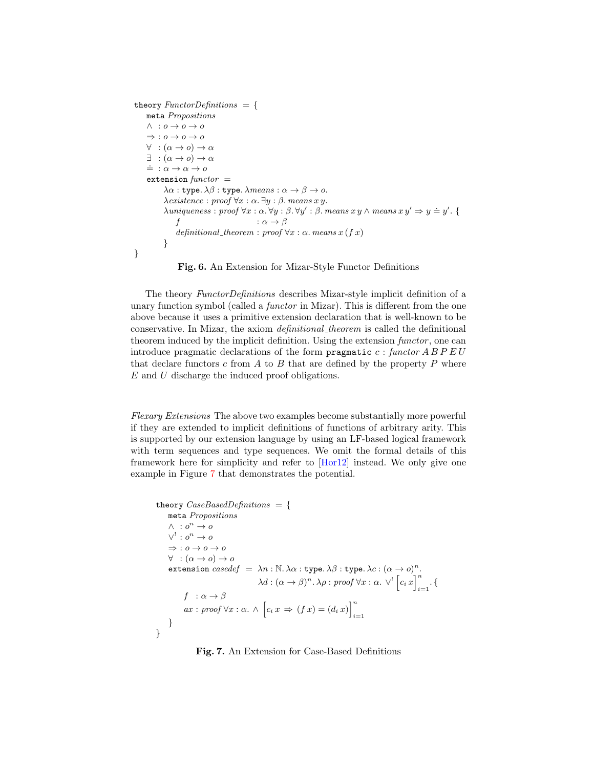```
theory FunctionS = \{meta Propositions
     ∧ : o → o → o\Rightarrow : o \rightarrow o \rightarrow o\forall : (\alpha \rightarrow o) \rightarrow \alpha\exists : (\alpha \rightarrow o) \rightarrow \alpha\dot{=}: \alpha \rightarrow \alpha \rightarrow oextension functor =\lambda \alpha : type. \lambda \beta : type. \lambdameans : \alpha \rightarrow \beta \rightarrow o.
            \lambdaexistence : proof \forall x : \alpha. \exists y : \beta. means x y.
             \lambdauniqueness : proof \forall x : \alpha. \forall y : \beta. \forall y' : \beta. means xy \wedge means xy' \Rightarrow y \doteq y'.
                 f : \alpha \rightarrow \betadefinitional theorem : proof \forall x : \alpha. means x(fx)}
}
```
<span id="page-9-0"></span>Fig. 6. An Extension for Mizar-Style Functor Definitions

The theory FunctorDefinitions describes Mizar-style implicit definition of a unary function symbol (called a *functor* in Mizar). This is different from the one above because it uses a primitive extension declaration that is well-known to be conservative. In Mizar, the axiom definitional theorem is called the definitional theorem induced by the implicit definition. Using the extension functor, one can introduce pragmatic declarations of the form pragmatic  $c :$  functor  $ABPEU$ that declare functors  $c$  from  $A$  to  $B$  that are defined by the property  $P$  where E and U discharge the induced proof obligations.

Flexary Extensions The above two examples become substantially more powerful if they are extended to implicit definitions of functions of arbitrary arity. This is supported by our extension language by using an LF-based logical framework with term sequences and type sequences. We omit the formal details of this framework here for simplicity and refer to [\[Hor12\]](#page-14-7) instead. We only give one example in Figure [7](#page-9-1) that demonstrates the potential.

```
theory CaseBasedDefinitions = \{meta Propositions
       \wedge : o^n \to o\vee^! : o^n \to o\Rightarrow : o \rightarrow o \rightarrow o\forall : (\alpha \rightarrow o) \rightarrow oextension \text{casedef} = \lambda n : \mathbb{N} \cdot \lambda \alpha : \text{type. } \lambda \beta : \text{type. } \lambda c : (\alpha \to o)^n.\lambda d: (\alpha \to \beta)^n \cdot \lambda \rho : \text{proof} \,\forall x : \alpha. \vee' \begin{bmatrix} c_i & n \end{bmatrix}^n_{i=1}. {
              f : \alpha \rightarrow \beta\mathit{ax} : \mathit{proof} \ \forall x : \alpha. \land \left[ c_i \ x \Rightarrow (f \ x) = (d_i \ x) \right]^ni=1}
}
```
<span id="page-9-1"></span>Fig. 7. An Extension for Case-Based Definitions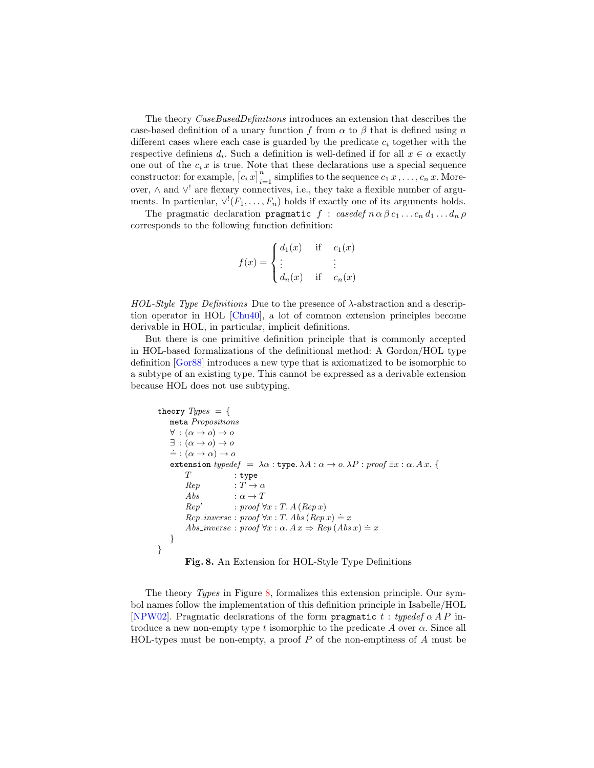The theory CaseBasedDefinitions introduces an extension that describes the case-based definition of a unary function f from  $\alpha$  to  $\beta$  that is defined using n different cases where each case is guarded by the predicate  $c_i$  together with the respective definiens  $d_i$ . Such a definition is well-defined if for all  $x \in \alpha$  exactly one out of the  $c_i x$  is true. Note that these declarations use a special sequence constructor: for example,  $[c_i x]_{i=1}^n$  simplifies to the sequence  $c_1 x, \ldots, c_n x$ . Moreover, ∧ and ∨ ! are flexary connectives, i.e., they take a flexible number of arguments. In particular,  $\vee^{!}(F_1,\ldots,F_n)$  holds if exactly one of its arguments holds.

The pragmatic declaration pragmatic f : casedef  $n \alpha \beta c_1 ... c_n d_1 ... d_n \rho$ corresponds to the following function definition:

$$
f(x) = \begin{cases} d_1(x) & \text{if } c_1(x) \\ \vdots & \vdots \\ d_n(x) & \text{if } c_n(x) \end{cases}
$$

 $HOL-Stype$  Definitions Due to the presence of  $\lambda$ -abstraction and a description operator in HOL [\[Chu40\]](#page-14-8), a lot of common extension principles become derivable in HOL, in particular, implicit definitions.

But there is one primitive definition principle that is commonly accepted in HOL-based formalizations of the definitional method: A Gordon/HOL type definition [\[Gor88\]](#page-14-9) introduces a new type that is axiomatized to be isomorphic to a subtype of an existing type. This cannot be expressed as a derivable extension because HOL does not use subtyping.

```
theory Types = \{meta Propositions
     \forall : (\alpha \rightarrow o) \rightarrow o\exists : (\alpha \rightarrow o) \rightarrow o\dot{=} : (\alpha \to \alpha) \to 0extension \mathit{typedef} = \lambda \alpha : \text{type. } \lambda A : \alpha \to \alpha \cdot \lambda P : \mathit{proof} \exists x : \alpha \cdot A \cdot x.T : type
            \begin{array}{ccc} Rep & : T \to \alpha \end{array}Abs \t\t : \alpha \to TRep': proof \forall x : T. A (Rep x)Rep\_inverse : proof \forall x : T. Also (Rep x) \doteq xAbs_inverse: proof \forall x : \alpha. Ax \Rightarrow Rep (Abs x) \doteq x}
}
```
<span id="page-10-0"></span>

The theory Types in Figure [8,](#page-10-0) formalizes this extension principle. Our symbol names follow the implementation of this definition principle in Isabelle/HOL [\[NPW02\]](#page-14-10). Pragmatic declarations of the form pragmatic t: typedef  $\alpha A P$  introduce a new non-empty type t isomorphic to the predicate A over  $\alpha$ . Since all HOL-types must be non-empty, a proof  $P$  of the non-emptiness of  $A$  must be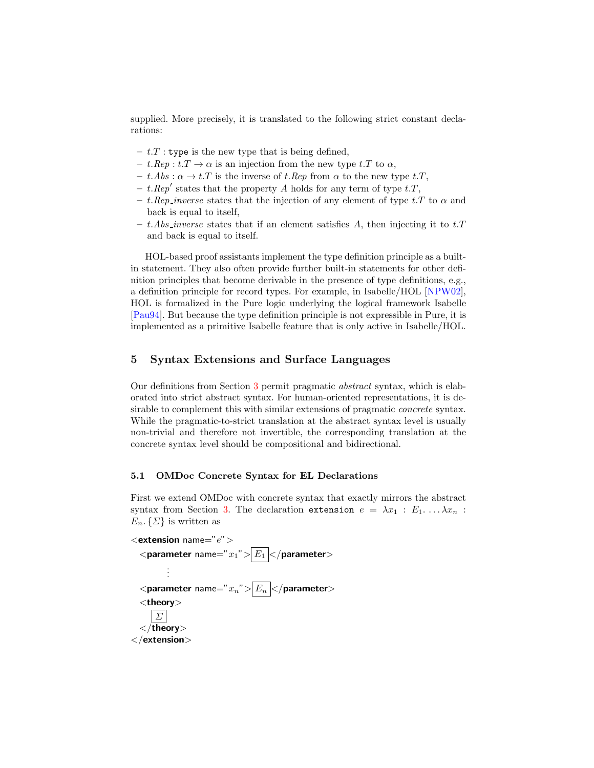supplied. More precisely, it is translated to the following strict constant declarations:

- $t.T$ : type is the new type that is being defined,
- $-t\cdot Rep : t\cdot T \to \alpha$  is an injection from the new type  $t\cdot T$  to  $\alpha$ ,
- $-t. Abs: \alpha \to t.T$  is the inverse of  $t. Rep$  from  $\alpha$  to the new type  $t.T$ ,
- t.Rep' states that the property A holds for any term of type  $t.T$ ,
- t.Rep inverse states that the injection of any element of type t.T to  $\alpha$  and back is equal to itself,
- $t. Abs\_inverse$  states that if an element satisfies A, then injecting it to  $t.T$ and back is equal to itself.

HOL-based proof assistants implement the type definition principle as a builtin statement. They also often provide further built-in statements for other definition principles that become derivable in the presence of type definitions, e.g., a definition principle for record types. For example, in Isabelle/HOL [\[NPW02\]](#page-14-10), HOL is formalized in the Pure logic underlying the logical framework Isabelle [\[Pau94\]](#page-15-0). But because the type definition principle is not expressible in Pure, it is implemented as a primitive Isabelle feature that is only active in Isabelle/HOL.

#### <span id="page-11-0"></span>5 Syntax Extensions and Surface Languages

Our definitions from Section [3](#page-4-0) permit pragmatic abstract syntax, which is elaborated into strict abstract syntax. For human-oriented representations, it is desirable to complement this with similar extensions of pragmatic concrete syntax. While the pragmatic-to-strict translation at the abstract syntax level is usually non-trivial and therefore not invertible, the corresponding translation at the concrete syntax level should be compositional and bidirectional.

#### 5.1 OMDoc Concrete Syntax for EL Declarations

First we extend OMDoc with concrete syntax that exactly mirrors the abstract syntax from Section [3.](#page-4-0) The declaration extension  $e = \lambda x_1 : E_1, \ldots, \lambda x_n$ :  $E_n$ . { $\Sigma$ } is written as

 $\leq$ extension name=" $e$ ">  $<$ parameter <code>name=" $x_1$ "> $\big|E_1\big|$ </parameter></code> . . .  $<$ parameter <code>name="xn">  $E_n$   $|<$ /parameter></code> <theory>  $\vert \varSigma \vert$  $\langle$ theory $>$  $\langle$ /extension $>$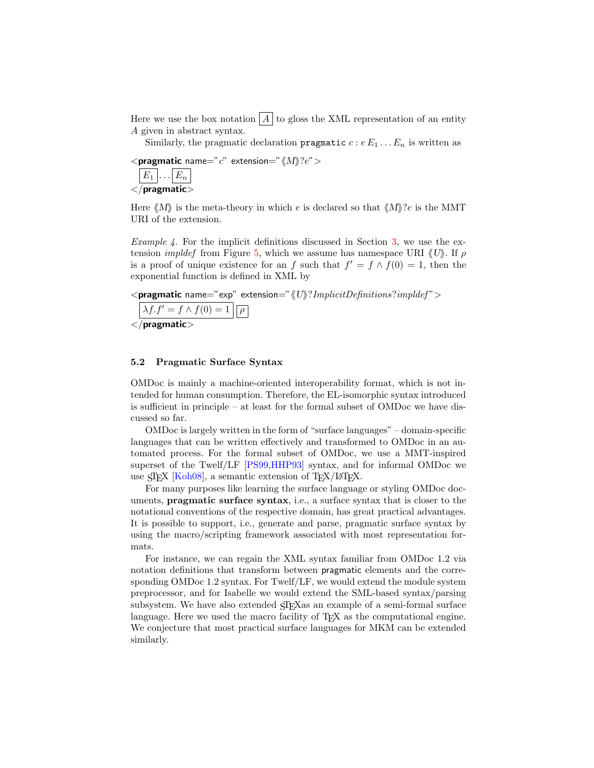Here we use the box notation  $\left|A\right|$  to gloss the XML representation of an entity A given in abstract syntax.

Similarly, the pragmatic declaration pragmatic  $c : e E_1 ... E_n$  is written as

 $\leq$ pragmatic name="c" extension=" $\langle M\rangle$ ?e">  $\overline{E_{1}}\left| \ldots \right| E_{n}$  $<$ /pragmatic $>$ 

Here  $\langle M \rangle$  is the meta-theory in which e is declared so that  $\langle M \rangle$ ?e is the MMT URI of the extension.

*Example 4.* For the implicit definitions discussed in Section [3,](#page-4-0) we use the extension *impldef* from Figure [5,](#page-8-0) which we assume has namespace URI  $\langle U \rangle$ . If  $\rho$ is a proof of unique existence for an f such that  $f' = f \wedge f(0) = 1$ , then the exponential function is defined in XML by

 $\leq$ pragmatic name="exp" extension=" $\langle U \rangle$ ?ImplicitDefinitions?impldef">

 $\lambda f.f' = f \wedge f(0) = 1 | \overline{\rho}$  $\langle$ pragmatic $>$ 

#### 5.2 Pragmatic Surface Syntax

OMDoc is mainly a machine-oriented interoperability format, which is not intended for human consumption. Therefore, the EL-isomorphic syntax introduced is sufficient in principle – at least for the formal subset of OMDoc we have discussed so far.

OMDoc is largely written in the form of "surface languages" – domain-specific languages that can be written effectively and transformed to OMDoc in an automated process. For the formal subset of OMDoc, we use a MMT-inspired superset of the Twelf/LF [\[PS99,](#page-15-1)[HHP93\]](#page-14-3) syntax, and for informal OMDoc we use  $\langle \Gamma_{\rm F} X | \text{Koh} \cdot 08 \rangle$ , a semantic extension of  $\Gamma_{\rm F} X / \mathbb{F} \cdot \Gamma_{\rm F} X$ .

For many purposes like learning the surface language or styling OMDoc documents, pragmatic surface syntax, i.e., a surface syntax that is closer to the notational conventions of the respective domain, has great practical advantages. It is possible to support, i.e., generate and parse, pragmatic surface syntax by using the macro/scripting framework associated with most representation formats.

For instance, we can regain the XML syntax familiar from OMDoc 1.2 via notation definitions that transform between pragmatic elements and the corresponding OMDoc 1.2 syntax. For Twelf/LF, we would extend the module system preprocessor, and for Isabelle we would extend the SML-based syntax/parsing subsystem. We have also extended  $\langle\text{IF,Xas an example of a semi-formal surface}\rangle$ language. Here we used the macro facility of T<sub>EX</sub> as the computational engine. We conjecture that most practical surface languages for MKM can be extended similarly.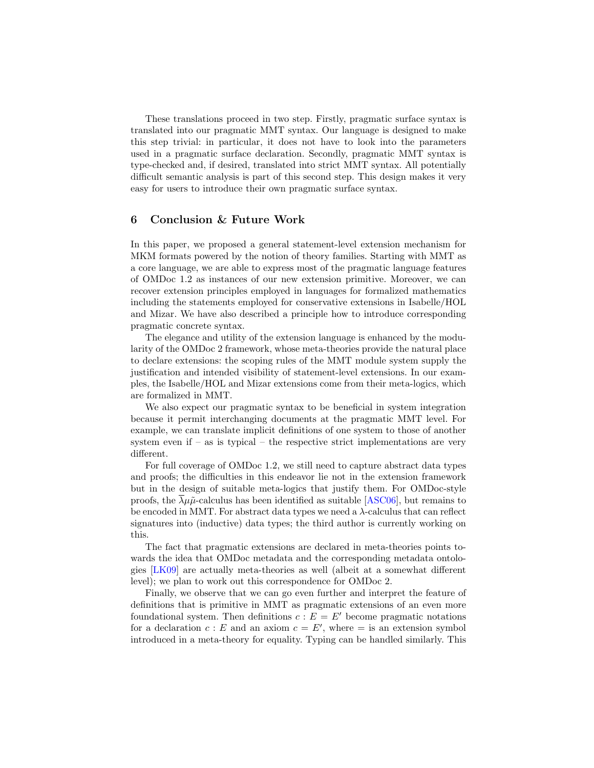These translations proceed in two step. Firstly, pragmatic surface syntax is translated into our pragmatic MMT syntax. Our language is designed to make this step trivial: in particular, it does not have to look into the parameters used in a pragmatic surface declaration. Secondly, pragmatic MMT syntax is type-checked and, if desired, translated into strict MMT syntax. All potentially difficult semantic analysis is part of this second step. This design makes it very easy for users to introduce their own pragmatic surface syntax.

## 6 Conclusion & Future Work

In this paper, we proposed a general statement-level extension mechanism for MKM formats powered by the notion of theory families. Starting with MMT as a core language, we are able to express most of the pragmatic language features of OMDoc 1.2 as instances of our new extension primitive. Moreover, we can recover extension principles employed in languages for formalized mathematics including the statements employed for conservative extensions in Isabelle/HOL and Mizar. We have also described a principle how to introduce corresponding pragmatic concrete syntax.

The elegance and utility of the extension language is enhanced by the modularity of the OMDoc 2 framework, whose meta-theories provide the natural place to declare extensions: the scoping rules of the MMT module system supply the justification and intended visibility of statement-level extensions. In our examples, the Isabelle/HOL and Mizar extensions come from their meta-logics, which are formalized in MMT.

We also expect our pragmatic syntax to be beneficial in system integration because it permit interchanging documents at the pragmatic MMT level. For example, we can translate implicit definitions of one system to those of another system even if – as is typical – the respective strict implementations are very different.

For full coverage of OMDoc 1.2, we still need to capture abstract data types and proofs; the difficulties in this endeavor lie not in the extension framework but in the design of suitable meta-logics that justify them. For OMDoc-style proofs, the  $\overline{\lambda}\mu\tilde{\mu}$ -calculus has been identified as suitable [\[ASC06\]](#page-14-12), but remains to be encoded in MMT. For abstract data types we need a  $\lambda$ -calculus that can reflect signatures into (inductive) data types; the third author is currently working on this.

The fact that pragmatic extensions are declared in meta-theories points towards the idea that OMDoc metadata and the corresponding metadata ontologies [\[LK09\]](#page-14-13) are actually meta-theories as well (albeit at a somewhat different level); we plan to work out this correspondence for OMDoc 2.

Finally, we observe that we can go even further and interpret the feature of definitions that is primitive in MMT as pragmatic extensions of an even more foundational system. Then definitions  $c : E = E'$  become pragmatic notations for a declaration  $c: E$  and an axiom  $c = E'$ , where  $=$  is an extension symbol introduced in a meta-theory for equality. Typing can be handled similarly. This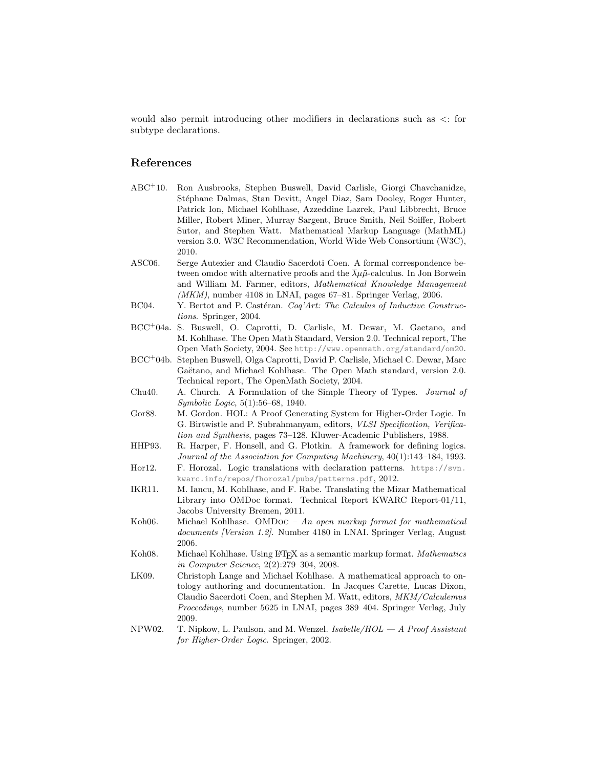would also permit introducing other modifiers in declarations such as <: for subtype declarations.

#### References

- <span id="page-14-0"></span>ABC<sup>+</sup>10. Ron Ausbrooks, Stephen Buswell, David Carlisle, Giorgi Chavchanidze, St´ephane Dalmas, Stan Devitt, Angel Diaz, Sam Dooley, Roger Hunter, Patrick Ion, Michael Kohlhase, Azzeddine Lazrek, Paul Libbrecht, Bruce Miller, Robert Miner, Murray Sargent, Bruce Smith, Neil Soiffer, Robert Sutor, and Stephen Watt. Mathematical Markup Language (MathML) version 3.0. W3C Recommendation, World Wide Web Consortium (W3C), 2010.
- <span id="page-14-12"></span>ASC06. Serge Autexier and Claudio Sacerdoti Coen. A formal correspondence between omdoc with alternative proofs and the  $\lambda \mu \tilde{\mu}$ -calculus. In Jon Borwein and William M. Farmer, editors, Mathematical Knowledge Management  $(MKM)$ , number 4108 in LNAI, pages 67–81. Springer Verlag, 2006.
- <span id="page-14-4"></span>BC04. Y. Bertot and P. Castéran. Coq'Art: The Calculus of Inductive Constructions. Springer, 2004.
- <span id="page-14-5"></span>BCC<sup>+</sup>04a. S. Buswell, O. Caprotti, D. Carlisle, M. Dewar, M. Gaetano, and M. Kohlhase. The Open Math Standard, Version 2.0. Technical report, The Open Math Society, 2004. See <http://www.openmath.org/standard/om20>.
- <span id="page-14-1"></span>BCC<sup>+</sup>04b. Stephen Buswell, Olga Caprotti, David P. Carlisle, Michael C. Dewar, Marc Gaëtano, and Michael Kohlhase. The Open Math standard, version 2.0. Technical report, The OpenMath Society, 2004.
- <span id="page-14-8"></span>Chu40. A. Church. A Formulation of the Simple Theory of Types. Journal of Symbolic Logic, 5(1):56–68, 1940.
- <span id="page-14-9"></span>Gor88. M. Gordon. HOL: A Proof Generating System for Higher-Order Logic. In G. Birtwistle and P. Subrahmanyam, editors, VLSI Specification, Verification and Synthesis, pages 73–128. Kluwer-Academic Publishers, 1988.
- <span id="page-14-3"></span>HHP93. R. Harper, F. Honsell, and G. Plotkin. A framework for defining logics. Journal of the Association for Computing Machinery, 40(1):143–184, 1993.
- <span id="page-14-7"></span>Hor12. F. Horozal. Logic translations with declaration patterns. [https://svn.](https://svn.kwarc.info/repos/fhorozal/pubs/patterns.pdf) [kwarc.info/repos/fhorozal/pubs/patterns.pdf](https://svn.kwarc.info/repos/fhorozal/pubs/patterns.pdf), 2012.
- <span id="page-14-6"></span>IKR11. M. Iancu, M. Kohlhase, and F. Rabe. Translating the Mizar Mathematical Library into OMDoc format. Technical Report KWARC Report-01/11, Jacobs University Bremen, 2011.
- <span id="page-14-2"></span>Koh06. Michael Kohlhase. OMDoc – An open markup format for mathematical documents [Version 1.2]. Number 4180 in LNAI. Springer Verlag, August 2006.
- <span id="page-14-11"></span>Koh08. Michael Kohlhase. Using L<sup>AT</sup>EX as a semantic markup format. Mathematics in Computer Science, 2(2):279–304, 2008.
- <span id="page-14-13"></span>LK09. Christoph Lange and Michael Kohlhase. A mathematical approach to ontology authoring and documentation. In Jacques Carette, Lucas Dixon, Claudio Sacerdoti Coen, and Stephen M. Watt, editors, MKM/Calculemus Proceedings, number 5625 in LNAI, pages 389–404. Springer Verlag, July 2009.
- <span id="page-14-10"></span>NPW02. T. Nipkow, L. Paulson, and M. Wenzel. Isabelle/HOL  $-A$  Proof Assistant for Higher-Order Logic. Springer, 2002.